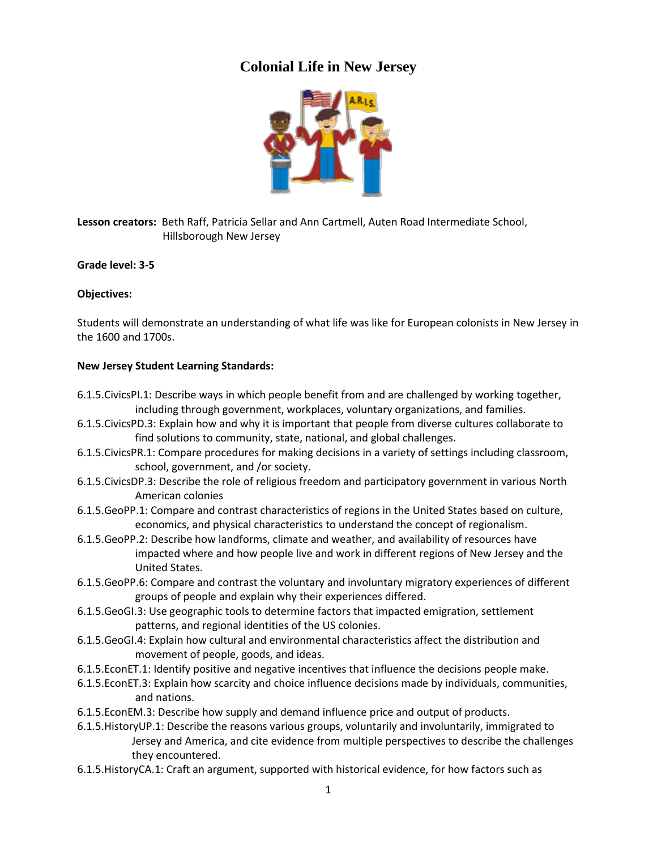## **Colonial Life in New Jersey**



**Lesson creators:** Beth Raff, Patricia Sellar and Ann Cartmell, Auten Road Intermediate School, Hillsborough New Jersey

**Grade level: 3-5**

### **Objectives:**

Students will demonstrate an understanding of what life was like for European colonists in New Jersey in the 1600 and 1700s.

#### **New Jersey Student Learning Standards:**

- 6.1.5.CivicsPI.1: Describe ways in which people benefit from and are challenged by working together, including through government, workplaces, voluntary organizations, and families.
- 6.1.5.CivicsPD.3: Explain how and why it is important that people from diverse cultures collaborate to find solutions to community, state, national, and global challenges.
- 6.1.5.CivicsPR.1: Compare procedures for making decisions in a variety of settings including classroom, school, government, and /or society.
- 6.1.5.CivicsDP.3: Describe the role of religious freedom and participatory government in various North American colonies
- 6.1.5.GeoPP.1: Compare and contrast characteristics of regions in the United States based on culture, economics, and physical characteristics to understand the concept of regionalism.
- 6.1.5.GeoPP.2: Describe how landforms, climate and weather, and availability of resources have impacted where and how people live and work in different regions of New Jersey and the United States.
- 6.1.5.GeoPP.6: Compare and contrast the voluntary and involuntary migratory experiences of different groups of people and explain why their experiences differed.
- 6.1.5.GeoGI.3: Use geographic tools to determine factors that impacted emigration, settlement patterns, and regional identities of the US colonies.
- 6.1.5.GeoGI.4: Explain how cultural and environmental characteristics affect the distribution and movement of people, goods, and ideas.
- 6.1.5.EconET.1: Identify positive and negative incentives that influence the decisions people make.
- 6.1.5.EconET.3: Explain how scarcity and choice influence decisions made by individuals, communities, and nations.
- 6.1.5.EconEM.3: Describe how supply and demand influence price and output of products.
- 6.1.5.HistoryUP.1: Describe the reasons various groups, voluntarily and involuntarily, immigrated to Jersey and America, and cite evidence from multiple perspectives to describe the challenges they encountered.
- 6.1.5.HistoryCA.1: Craft an argument, supported with historical evidence, for how factors such as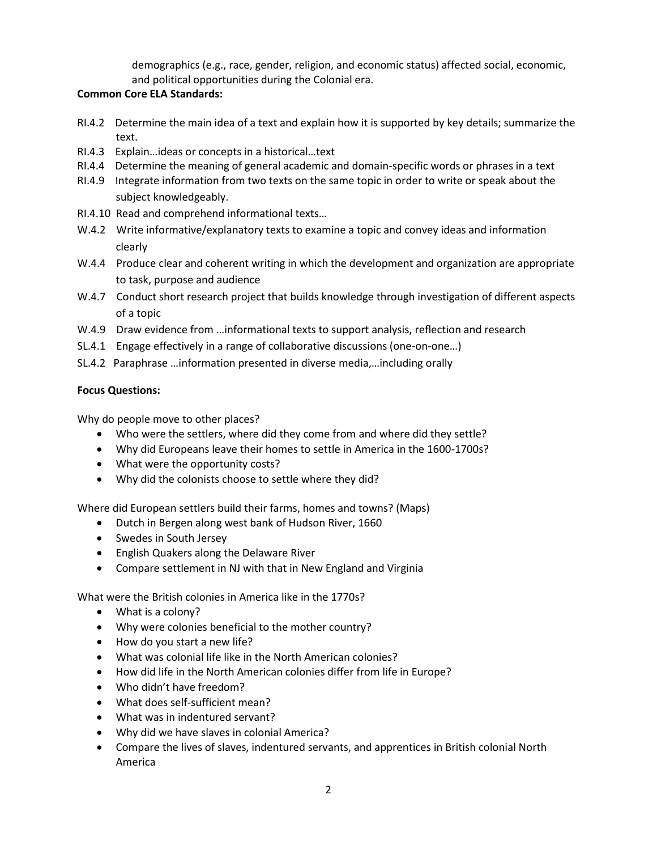demographics (e.g., race, gender, religion, and economic status) affected social, economic, and political opportunities during the Colonial era.

### **Common Core ELA Standards:**

- RI.4.2 Determine the main idea of a text and explain how it is supported by key details; summarize the text.
- RI.4.3 Explain…ideas or concepts in a historical…text
- RI.4.4 Determine the meaning of general academic and domain-specific words or phrases in a text
- RI.4.9 Integrate information from two texts on the same topic in order to write or speak about the subject knowledgeably.
- RI.4.10 Read and comprehend informational texts…
- W.4.2 Write informative/explanatory texts to examine a topic and convey ideas and information clearly
- W.4.4 Produce clear and coherent writing in which the development and organization are appropriate to task, purpose and audience
- W.4.7 Conduct short research project that builds knowledge through investigation of different aspects of a topic
- W.4.9 Draw evidence from ...informational texts to support analysis, reflection and research
- SL.4.1 Engage effectively in a range of collaborative discussions (one-on-one…)
- SL.4.2 Paraphrase …information presented in diverse media,…including orally

### **Focus Questions:**

Why do people move to other places?

- Who were the settlers, where did they come from and where did they settle?
- Why did Europeans leave their homes to settle in America in the 1600-1700s?
- What were the opportunity costs?
- Why did the colonists choose to settle where they did?

Where did European settlers build their farms, homes and towns? (Maps)

- Dutch in Bergen along west bank of Hudson River, 1660
- Swedes in South Jersey
- English Quakers along the Delaware River
- Compare settlement in NJ with that in New England and Virginia

What were the British colonies in America like in the 1770s?

- What is a colony?
- Why were colonies beneficial to the mother country?
- How do you start a new life?
- What was colonial life like in the North American colonies?
- How did life in the North American colonies differ from life in Europe?
- Who didn't have freedom?
- What does self-sufficient mean?
- What was in indentured servant?
- Why did we have slaves in colonial America?
- Compare the lives of slaves, indentured servants, and apprentices in British colonial North America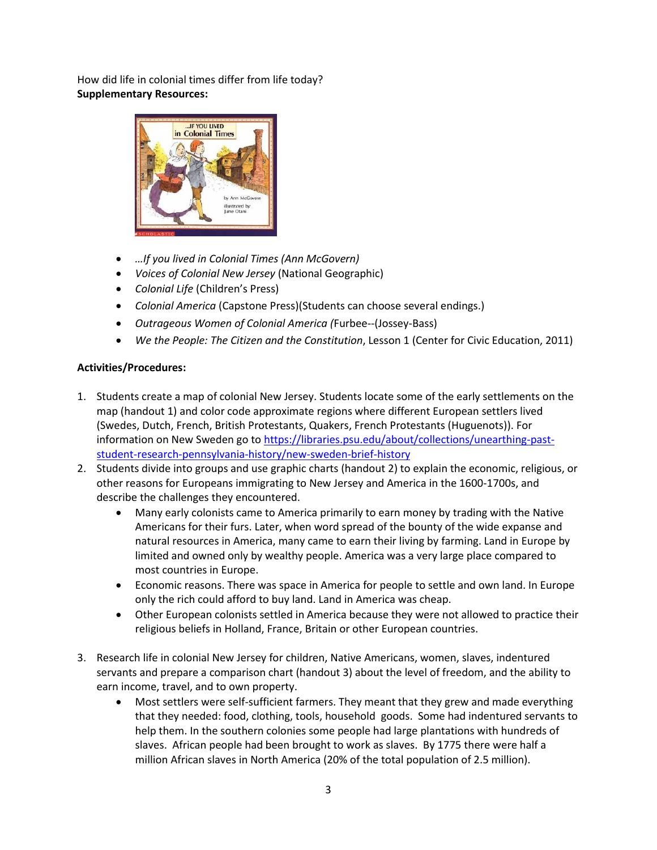How did life in colonial times differ from life today? **Supplementary Resources:** 



- *…If you lived in Colonial Times (Ann McGovern)*
- *Voices of Colonial New Jersey* (National Geographic)
- *Colonial Life* (Children's Press)
- *Colonial America* (Capstone Press)(Students can choose several endings.)
- *Outrageous Women of Colonial America (*Furbee--(Jossey-Bass)
- *We the People: The Citizen and the Constitution*, Lesson 1 (Center for Civic Education, 2011)

### **Activities/Procedures:**

- 1. Students create a map of colonial New Jersey. Students locate some of the early settlements on the map (handout 1) and color code approximate regions where different European settlers lived (Swedes, Dutch, French, British Protestants, Quakers, French Protestants (Huguenots)). For information on New Sweden go to [https://libraries.psu.edu/about/collections/unearthing-past](https://libraries.psu.edu/about/collections/unearthing-past-student-research-pennsylvania-history/new-sweden-brief-history)[student-research-pennsylvania-history/new-sweden-brief-history](https://libraries.psu.edu/about/collections/unearthing-past-student-research-pennsylvania-history/new-sweden-brief-history)
- 2. Students divide into groups and use graphic charts (handout 2) to explain the economic, religious, or other reasons for Europeans immigrating to New Jersey and America in the 1600-1700s, and describe the challenges they encountered.
	- Many early colonists came to America primarily to earn money by trading with the Native Americans for their furs. Later, when word spread of the bounty of the wide expanse and natural resources in America, many came to earn their living by farming. Land in Europe by limited and owned only by wealthy people. America was a very large place compared to most countries in Europe.
	- Economic reasons. There was space in America for people to settle and own land. In Europe only the rich could afford to buy land. Land in America was cheap.
	- Other European colonists settled in America because they were not allowed to practice their religious beliefs in Holland, France, Britain or other European countries.
- 3. Research life in colonial New Jersey for children, Native Americans, women, slaves, indentured servants and prepare a comparison chart (handout 3) about the level of freedom, and the ability to earn income, travel, and to own property.
	- Most settlers were self-sufficient farmers. They meant that they grew and made everything that they needed: food, clothing, tools, household goods. Some had indentured servants to help them. In the southern colonies some people had large plantations with hundreds of slaves. African people had been brought to work as slaves. By 1775 there were half a million African slaves in North America (20% of the total population of 2.5 million).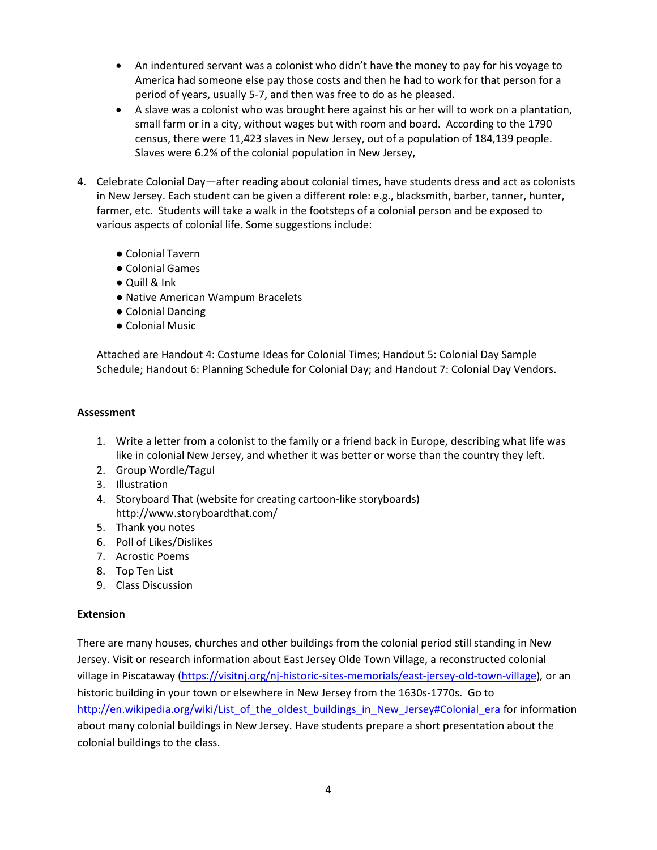- An indentured servant was a colonist who didn't have the money to pay for his voyage to America had someone else pay those costs and then he had to work for that person for a period of years, usually 5-7, and then was free to do as he pleased.
- A slave was a colonist who was brought here against his or her will to work on a plantation, small farm or in a city, without wages but with room and board. According to the 1790 census, there were 11,423 slaves in New Jersey, out of a population of 184,139 people. Slaves were 6.2% of the colonial population in New Jersey,
- 4. Celebrate Colonial Day—after reading about colonial times, have students dress and act as colonists in New Jersey. Each student can be given a different role: e.g., blacksmith, barber, tanner, hunter, farmer, etc. Students will take a walk in the footsteps of a colonial person and be exposed to various aspects of colonial life. Some suggestions include:
	- Colonial Tavern
	- Colonial Games
	- Quill & Ink
	- Native American Wampum Bracelets
	- Colonial Dancing
	- Colonial Music

Attached are Handout 4: Costume Ideas for Colonial Times; Handout 5: Colonial Day Sample Schedule; Handout 6: Planning Schedule for Colonial Day; and Handout 7: Colonial Day Vendors.

#### **Assessment**

- 1. Write a letter from a colonist to the family or a friend back in Europe, describing what life was like in colonial New Jersey, and whether it was better or worse than the country they left.
- 2. Group Wordle/Tagul
- 3. Illustration
- 4. Storyboard That (website for creating cartoon-like storyboards) http://www.storyboardthat.com/
- 5. Thank you notes
- 6. Poll of Likes/Dislikes
- 7. Acrostic Poems
- 8. Top Ten List
- 9. Class Discussion

### **Extension**

There are many houses, churches and other buildings from the colonial period still standing in New Jersey. Visit or research information about East Jersey Olde Town Village, a reconstructed colonial village in Piscataway [\(https://visitnj.org/nj-historic-sites-memorials/east-jersey-old-town-village\)](https://visitnj.org/nj-historic-sites-memorials/east-jersey-old-town-village)*,* or an historic building in your town or elsewhere in New Jersey from the 1630s-1770s. Go to http://en.wikipedia.org/wiki/List of the oldest buildings in New Jersey#Colonial era for information about many colonial buildings in New Jersey. Have students prepare a short presentation about the colonial buildings to the class.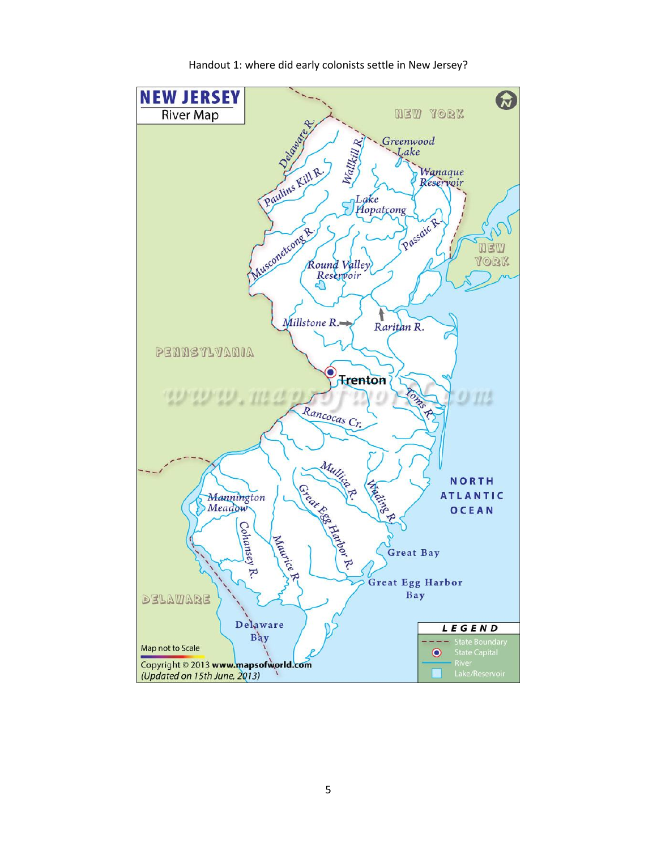

Handout 1: where did early colonists settle in New Jersey?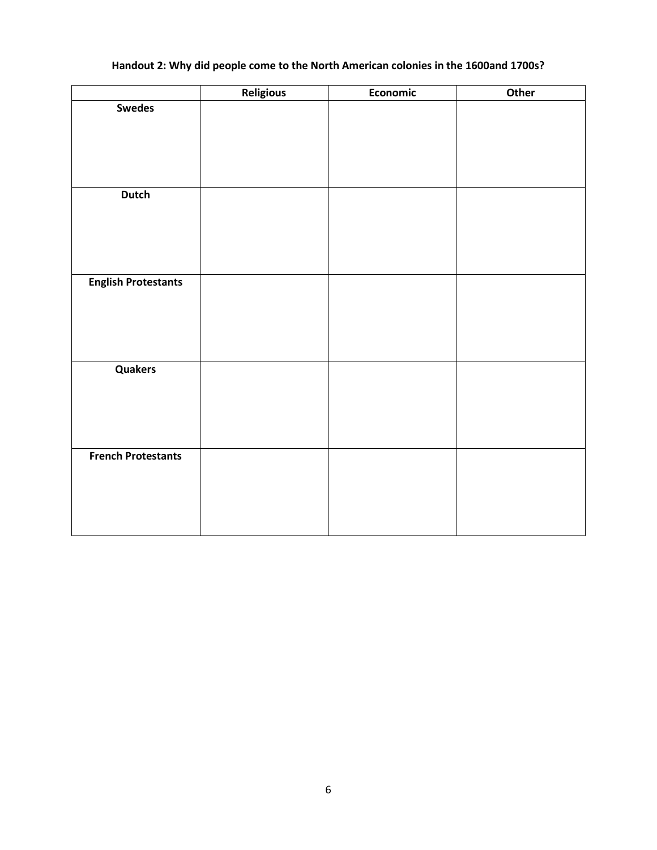## **Handout 2: Why did people come to the North American colonies in the 1600and 1700s?**

|                            | <b>Religious</b> | Economic | Other |
|----------------------------|------------------|----------|-------|
| <b>Swedes</b>              |                  |          |       |
|                            |                  |          |       |
|                            |                  |          |       |
|                            |                  |          |       |
|                            |                  |          |       |
| <b>Dutch</b>               |                  |          |       |
|                            |                  |          |       |
|                            |                  |          |       |
|                            |                  |          |       |
|                            |                  |          |       |
|                            |                  |          |       |
| <b>English Protestants</b> |                  |          |       |
|                            |                  |          |       |
|                            |                  |          |       |
|                            |                  |          |       |
|                            |                  |          |       |
| Quakers                    |                  |          |       |
|                            |                  |          |       |
|                            |                  |          |       |
|                            |                  |          |       |
|                            |                  |          |       |
| <b>French Protestants</b>  |                  |          |       |
|                            |                  |          |       |
|                            |                  |          |       |
|                            |                  |          |       |
|                            |                  |          |       |
|                            |                  |          |       |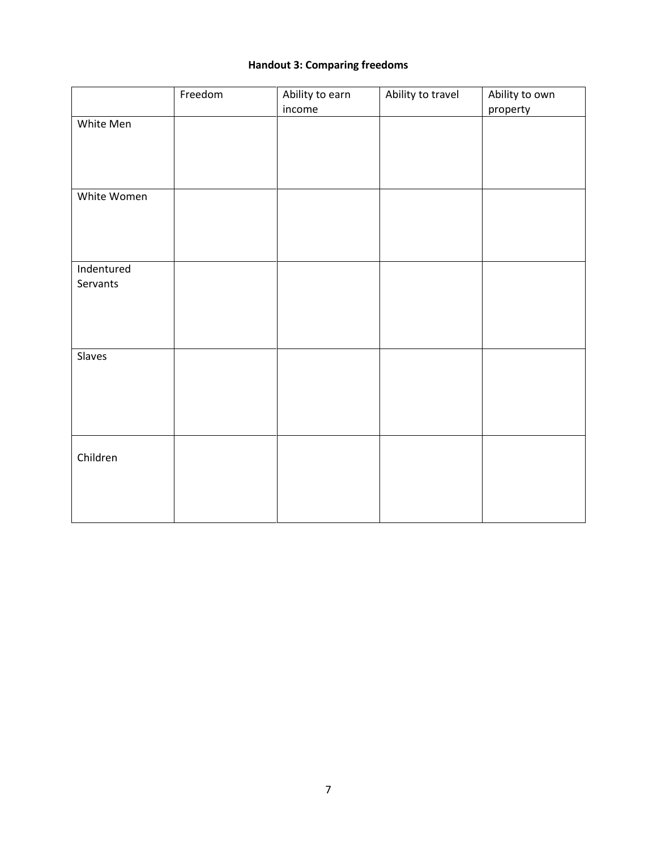### **Handout 3: Comparing freedoms**

|                        | Freedom | Ability to earn | Ability to travel | Ability to own |
|------------------------|---------|-----------------|-------------------|----------------|
|                        |         | income          |                   | property       |
| White Men              |         |                 |                   |                |
| White Women            |         |                 |                   |                |
| Indentured<br>Servants |         |                 |                   |                |
| Slaves                 |         |                 |                   |                |
| Children               |         |                 |                   |                |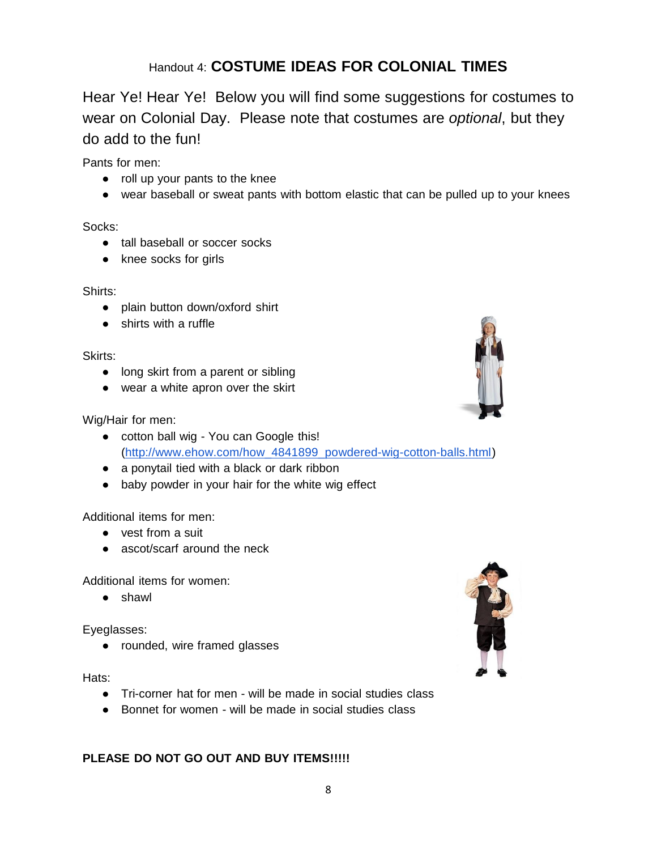# Handout 4: **COSTUME IDEAS FOR COLONIAL TIMES**

Hear Ye! Hear Ye! Below you will find some suggestions for costumes to wear on Colonial Day. Please note that costumes are *optional*, but they do add to the fun!

Pants for men:

- roll up your pants to the knee
- wear baseball or sweat pants with bottom elastic that can be pulled up to your knees

Socks:

- tall baseball or soccer socks
- knee socks for girls

### Shirts:

- plain button down/oxford shirt
- shirts with a ruffle

### Skirts:

- long skirt from a parent or sibling
- wear a white apron over the skirt

## Wig/Hair for men:

- cotton ball wig You can Google this! [\(http://www.ehow.com/how\\_4841899\\_powdered-wig-cotton-balls.html\)](http://www.google.com/url?q=http%3A%2F%2Fwww.ehow.com%2Fhow_4841899_powdered-wig-cotton-balls.html&sa=D&sntz=1&usg=AFQjCNGRBlYDG3I5F50UqEX9RtHNvbOCZA)
- a ponytail tied with a black or dark ribbon
- baby powder in your hair for the white wig effect

## Additional items for men:

- vest from a suit
- ascot/scarf around the neck

Additional items for women:

● shawl

Eyeglasses:

● rounded, wire framed glasses

Hats:

- Tri-corner hat for men will be made in social studies class
- Bonnet for women will be made in social studies class

## **PLEASE DO NOT GO OUT AND BUY ITEMS!!!!!**



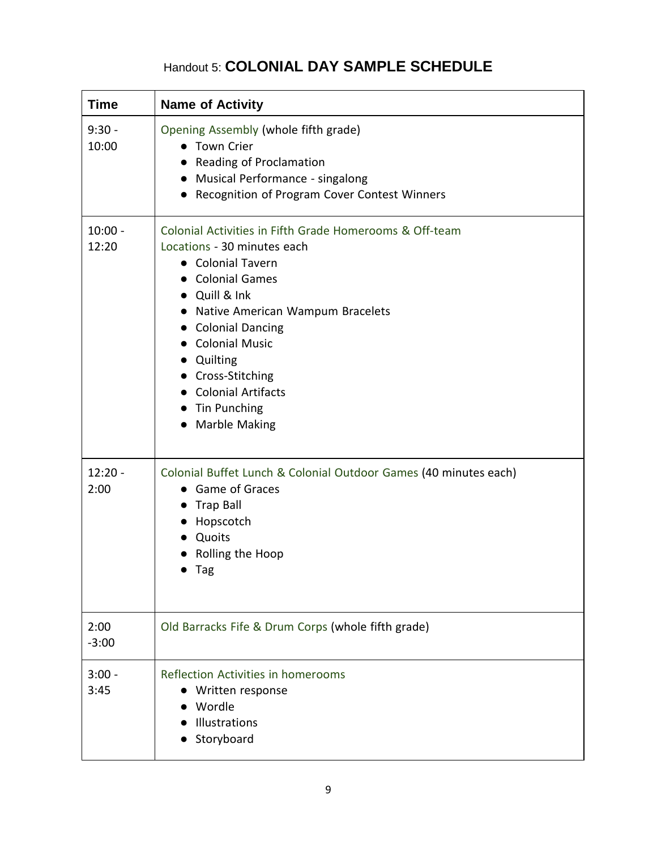## Handout 5: **COLONIAL DAY SAMPLE SCHEDULE**

| <b>Time</b>        | <b>Name of Activity</b>                                                                                                                                                                                                                                                                                                                                      |
|--------------------|--------------------------------------------------------------------------------------------------------------------------------------------------------------------------------------------------------------------------------------------------------------------------------------------------------------------------------------------------------------|
| $9:30 -$<br>10:00  | Opening Assembly (whole fifth grade)<br>• Town Crier<br><b>Reading of Proclamation</b><br>Musical Performance - singalong<br>$\bullet$<br>Recognition of Program Cover Contest Winners<br>$\bullet$                                                                                                                                                          |
| $10:00 -$<br>12:20 | Colonial Activities in Fifth Grade Homerooms & Off-team<br>Locations - 30 minutes each<br>• Colonial Tavern<br><b>Colonial Games</b><br>Quill & Ink<br>Native American Wampum Bracelets<br>$\bullet$<br><b>Colonial Dancing</b><br><b>Colonial Music</b><br>Quilting<br>Cross-Stitching<br><b>Colonial Artifacts</b><br>Tin Punching<br><b>Marble Making</b> |
| $12:20 -$<br>2:00  | Colonial Buffet Lunch & Colonial Outdoor Games (40 minutes each)<br>Game of Graces<br><b>Trap Ball</b><br>Hopscotch<br>Quoits<br>Rolling the Hoop<br>Tag                                                                                                                                                                                                     |
| 2:00<br>$-3:00$    | Old Barracks Fife & Drum Corps (whole fifth grade)                                                                                                                                                                                                                                                                                                           |
| $3:00 -$<br>3:45   | Reflection Activities in homerooms<br>Written response<br>Wordle<br>Illustrations<br>Storyboard                                                                                                                                                                                                                                                              |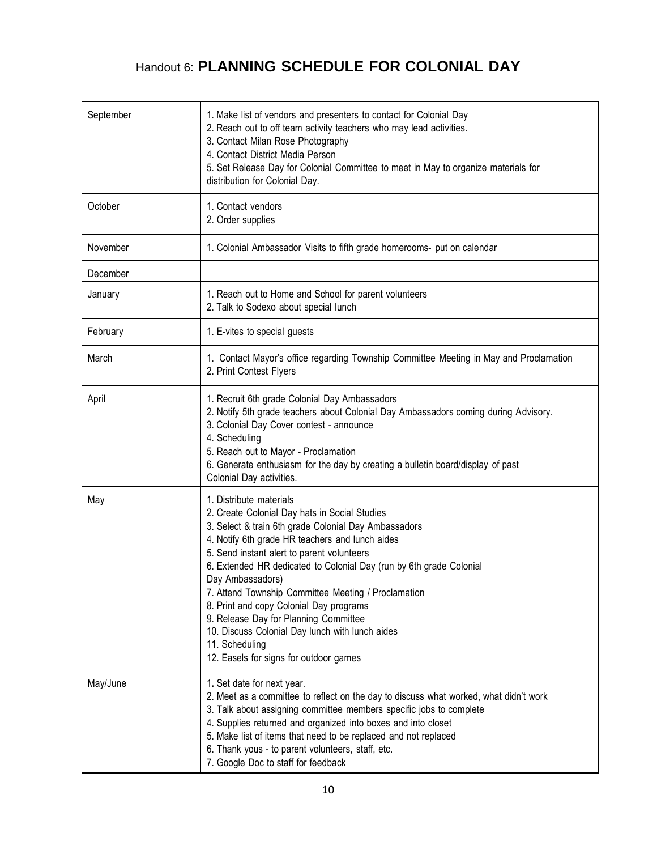# Handout 6: **PLANNING SCHEDULE FOR COLONIAL DAY**

| September | 1. Make list of vendors and presenters to contact for Colonial Day<br>2. Reach out to off team activity teachers who may lead activities.<br>3. Contact Milan Rose Photography<br>4. Contact District Media Person<br>5. Set Release Day for Colonial Committee to meet in May to organize materials for<br>distribution for Colonial Day.                                                                                                                                                                                                                                             |
|-----------|----------------------------------------------------------------------------------------------------------------------------------------------------------------------------------------------------------------------------------------------------------------------------------------------------------------------------------------------------------------------------------------------------------------------------------------------------------------------------------------------------------------------------------------------------------------------------------------|
| October   | 1. Contact vendors<br>2. Order supplies                                                                                                                                                                                                                                                                                                                                                                                                                                                                                                                                                |
| November  | 1. Colonial Ambassador Visits to fifth grade homerooms- put on calendar                                                                                                                                                                                                                                                                                                                                                                                                                                                                                                                |
| December  |                                                                                                                                                                                                                                                                                                                                                                                                                                                                                                                                                                                        |
| January   | 1. Reach out to Home and School for parent volunteers<br>2. Talk to Sodexo about special lunch                                                                                                                                                                                                                                                                                                                                                                                                                                                                                         |
| February  | 1. E-vites to special guests                                                                                                                                                                                                                                                                                                                                                                                                                                                                                                                                                           |
| March     | 1. Contact Mayor's office regarding Township Committee Meeting in May and Proclamation<br>2. Print Contest Flyers                                                                                                                                                                                                                                                                                                                                                                                                                                                                      |
| April     | 1. Recruit 6th grade Colonial Day Ambassadors<br>2. Notify 5th grade teachers about Colonial Day Ambassadors coming during Advisory.<br>3. Colonial Day Cover contest - announce<br>4. Scheduling<br>5. Reach out to Mayor - Proclamation<br>6. Generate enthusiasm for the day by creating a bulletin board/display of past<br>Colonial Day activities.                                                                                                                                                                                                                               |
| May       | 1. Distribute materials<br>2. Create Colonial Day hats in Social Studies<br>3. Select & train 6th grade Colonial Day Ambassadors<br>4. Notify 6th grade HR teachers and lunch aides<br>5. Send instant alert to parent volunteers<br>6. Extended HR dedicated to Colonial Day (run by 6th grade Colonial<br>Day Ambassadors)<br>7. Attend Township Committee Meeting / Proclamation<br>8. Print and copy Colonial Day programs<br>9. Release Day for Planning Committee<br>10. Discuss Colonial Day lunch with lunch aides<br>11. Scheduling<br>12. Easels for signs for outdoor games |
| May/June  | 1. Set date for next year.<br>2. Meet as a committee to reflect on the day to discuss what worked, what didn't work<br>3. Talk about assigning committee members specific jobs to complete<br>4. Supplies returned and organized into boxes and into closet<br>5. Make list of items that need to be replaced and not replaced<br>6. Thank yous - to parent volunteers, staff, etc.<br>7. Google Doc to staff for feedback                                                                                                                                                             |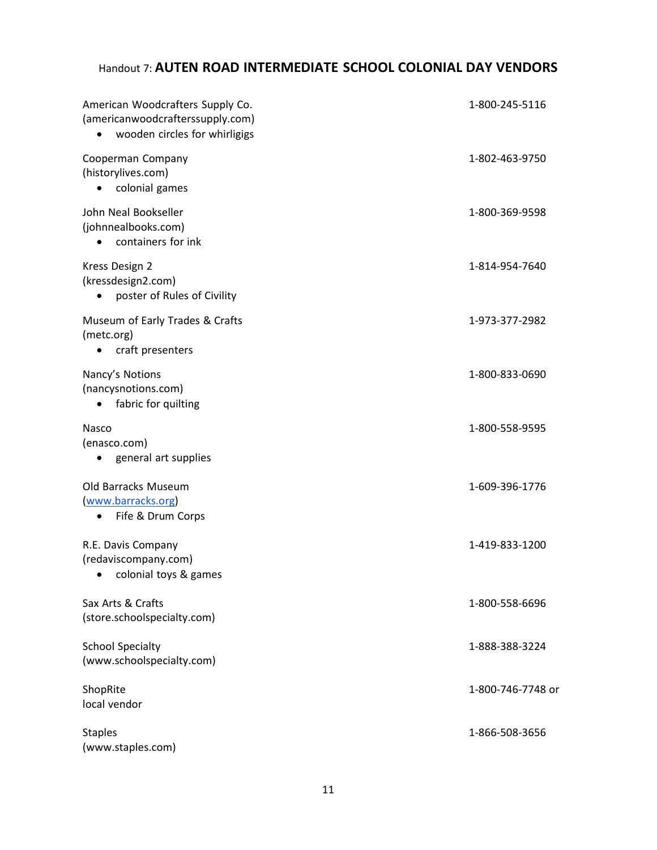## Handout 7: **AUTEN ROAD INTERMEDIATE SCHOOL COLONIAL DAY VENDORS**

| American Woodcrafters Supply Co.<br>(americanwoodcrafterssupply.com)<br>wooden circles for whirligigs<br>$\bullet$ | 1-800-245-5116    |
|--------------------------------------------------------------------------------------------------------------------|-------------------|
| Cooperman Company<br>(historylives.com)<br>colonial games                                                          | 1-802-463-9750    |
| John Neal Bookseller<br>(johnnealbooks.com)<br>containers for ink<br>٠                                             | 1-800-369-9598    |
| Kress Design 2<br>(kressdesign2.com)<br>poster of Rules of Civility<br>$\bullet$                                   | 1-814-954-7640    |
| Museum of Early Trades & Crafts<br>(metc.org)<br>craft presenters                                                  | 1-973-377-2982    |
| Nancy's Notions<br>(nancysnotions.com)<br>fabric for quilting<br>$\bullet$                                         | 1-800-833-0690    |
| Nasco<br>(enasco.com)<br>general art supplies                                                                      | 1-800-558-9595    |
| Old Barracks Museum<br>www.barracks.org<br>Fife & Drum Corps                                                       | 1-609-396-1776    |
| R.E. Davis Company<br>(redaviscompany.com)<br>colonial toys & games                                                | 1-419-833-1200    |
| Sax Arts & Crafts<br>(store.schoolspecialty.com)                                                                   | 1-800-558-6696    |
| <b>School Specialty</b><br>(www.schoolspecialty.com)                                                               | 1-888-388-3224    |
| ShopRite<br>local vendor                                                                                           | 1-800-746-7748 or |
| <b>Staples</b><br>(www.staples.com)                                                                                | 1-866-508-3656    |